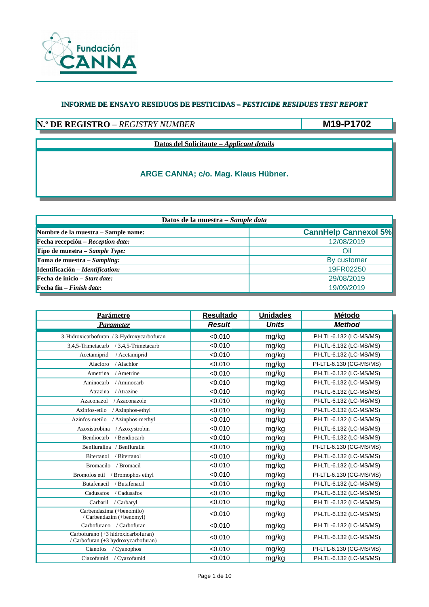

## **N.º DE REGISTRO** – *REGISTRY NUMBER*

**M19-P1702**

**Datos del Solicitante –** *Applicant details*

| Datos de la muestra - Sample data                       |                             |  |  |  |
|---------------------------------------------------------|-----------------------------|--|--|--|
| Nombre de la muestra – Sample name:                     | <b>CannHelp Cannexol 5%</b> |  |  |  |
| $\blacktriangleright$ Fecha recepción – Reception date: | 12/08/2019                  |  |  |  |
| Tipo de muestra – Sample Type:                          | Oil                         |  |  |  |
| Toma de muestra – Sampling:                             | By customer                 |  |  |  |
| Identificación - Identification:                        | 19FR02250                   |  |  |  |
| $\blacktriangleright$ Fecha de inicio – Start date:     | 29/08/2019                  |  |  |  |
| <b>Fecha fin</b> $-$ <i>Finish date</i> :               | 19/09/2019                  |  |  |  |

| <b>Parámetro</b>                                                          | <b>Resultado</b> | <b>Unidades</b> | Método                  |
|---------------------------------------------------------------------------|------------------|-----------------|-------------------------|
| <b>Parameter</b>                                                          | <b>Result</b>    | <b>Units</b>    | <b>Method</b>           |
| 3-Hidroxicarbofuran / 3-Hydroxycarbofuran                                 | < 0.010          | mg/kg           | PI-LTL-6.132 (LC-MS/MS) |
| 3,4,5-Trimetacarb<br>/ 3,4,5-Trimetacarb                                  | < 0.010          | mg/kg           | PI-LTL-6.132 (LC-MS/MS) |
| Acetamiprid<br>/ Acetamiprid                                              | < 0.010          | mg/kg           | PI-LTL-6.132 (LC-MS/MS) |
| / Alachlor<br>Alacloro                                                    | < 0.010          | mg/kg           | PI-LTL-6.130 (CG-MS/MS) |
| Ametrina<br>/ Ametrine                                                    | < 0.010          | mg/kg           | PI-LTL-6.132 (LC-MS/MS) |
| Aminocarb<br>/ Aminocarb                                                  | < 0.010          | mg/kg           | PI-LTL-6.132 (LC-MS/MS) |
| Atrazina<br>/ Atrazine                                                    | < 0.010          | mg/kg           | PI-LTL-6.132 (LC-MS/MS) |
| / Azaconazole<br>Azaconazol                                               | < 0.010          | mg/kg           | PI-LTL-6.132 (LC-MS/MS) |
| Azinfos-etilo<br>/ Azinphos-ethyl                                         | < 0.010          | mg/kg           | PI-LTL-6.132 (LC-MS/MS) |
| Azinfos-metilo<br>/ Azinphos-methyl                                       | < 0.010          | mg/kg           | PI-LTL-6.132 (LC-MS/MS) |
| / Azoxystrobin<br>Azoxistrobina                                           | < 0.010          | mg/kg           | PI-LTL-6.132 (LC-MS/MS) |
| Bendiocarb<br>/ Bendiocarb                                                | < 0.010          | mg/kg           | PI-LTL-6.132 (LC-MS/MS) |
| Benfluralina / Benfluralin                                                | < 0.010          | mg/kg           | PI-LTL-6.130 (CG-MS/MS) |
| Bitertanol<br>/ Bitertanol                                                | < 0.010          | mg/kg           | PI-LTL-6.132 (LC-MS/MS) |
| <b>Bromacilo</b><br>/ Bromacil                                            | < 0.010          | mg/kg           | PI-LTL-6.132 (LC-MS/MS) |
| Bromofos etil / Bromophos ethyl                                           | < 0.010          | mg/kg           | PI-LTL-6.130 (CG-MS/MS) |
| Butafenacil<br>/ Butafenacil                                              | < 0.010          | mg/kg           | PI-LTL-6.132 (LC-MS/MS) |
| Cadusafos<br>/ Cadusafos                                                  | < 0.010          | mg/kg           | PI-LTL-6.132 (LC-MS/MS) |
| Carbaril<br>/ Carbaryl                                                    | < 0.010          | mg/kg           | PI-LTL-6.132 (LC-MS/MS) |
| Carbendazima (+benomilo)<br>/ Carbendazim (+benomyl)                      | < 0.010          | mg/kg           | PI-LTL-6.132 (LC-MS/MS) |
| Carbofurano / Carbofuran                                                  | < 0.010          | mg/kg           | PI-LTL-6.132 (LC-MS/MS) |
| Carbofurano (+3 hidroxicarbofuran)<br>/ Carbofuran (+3 hydroxycarbofuran) | < 0.010          | mg/kg           | PI-LTL-6.132 (LC-MS/MS) |
| Cianofos / Cyanophos                                                      | < 0.010          | mg/kg           | PI-LTL-6.130 (CG-MS/MS) |
| Ciazofamid / Cyazofamid                                                   | < 0.010          | mg/kg           | PI-LTL-6.132 (LC-MS/MS) |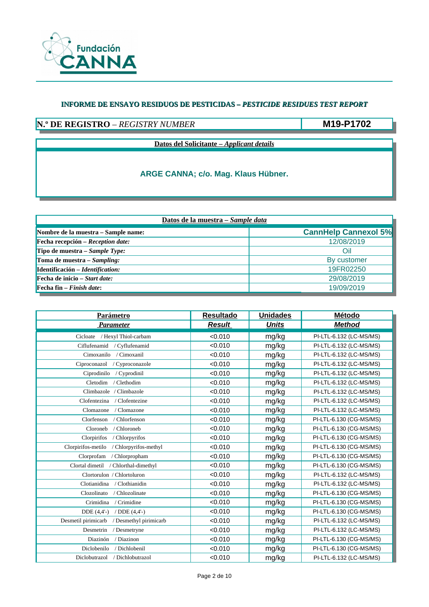

# **N.º DE REGISTRO** – *REGISTRY NUMBER*

**M19-P1702**

**Datos del Solicitante –** *Applicant details*

| Datos de la muestra - Sample data                       |                             |  |  |  |
|---------------------------------------------------------|-----------------------------|--|--|--|
| Nombre de la muestra – Sample name:                     | <b>CannHelp Cannexol 5%</b> |  |  |  |
| $\blacktriangleright$ Fecha recepción – Reception date: | 12/08/2019                  |  |  |  |
| Tipo de muestra – Sample Type:                          | Oil                         |  |  |  |
| Toma de muestra – Sampling:                             | By customer                 |  |  |  |
| Identificación - Identification:                        | 19FR02250                   |  |  |  |
| $\blacktriangleright$ Fecha de inicio – Start date:     | 29/08/2019                  |  |  |  |
| <b>Fecha fin</b> $-$ <i>Finish date</i> :               | 19/09/2019                  |  |  |  |

| <b>Parámetro</b>                              | <b>Resultado</b> | <b>Unidades</b> | Método                  |
|-----------------------------------------------|------------------|-----------------|-------------------------|
| <b>Parameter</b>                              | <b>Result</b>    | <b>Units</b>    | <b>Method</b>           |
| / Hexyl Thiol-carbam<br>Cicloate              | < 0.010          | mg/kg           | PI-LTL-6.132 (LC-MS/MS) |
| Ciflufenamid / Cyflufenamid                   | < 0.010          | mg/kg           | PI-LTL-6.132 (LC-MS/MS) |
| Cimoxanilo<br>/ Cimoxanil                     | < 0.010          | mg/kg           | PI-LTL-6.132 (LC-MS/MS) |
| Ciproconazol<br>/ Cyproconazole               | < 0.010          | mg/kg           | PI-LTL-6.132 (LC-MS/MS) |
| Ciprodinilo<br>/ Cyprodinil                   | < 0.010          | mg/kg           | PI-LTL-6.132 (LC-MS/MS) |
| Cletodim<br>/ Clethodim                       | < 0.010          | mg/kg           | PI-LTL-6.132 (LC-MS/MS) |
| / Climbazole<br>Climbazole                    | < 0.010          | mg/kg           | PI-LTL-6.132 (LC-MS/MS) |
| Clofentezina<br>/ Clofentezine                | < 0.010          | mg/kg           | PI-LTL-6.132 (LC-MS/MS) |
| / Clomazone<br>Clomazone                      | < 0.010          | mg/kg           | PI-LTL-6.132 (LC-MS/MS) |
| Clorfenson<br>/ Chlorfenson                   | < 0.010          | mg/kg           | PI-LTL-6.130 (CG-MS/MS) |
| Cloroneb<br>/ Chloroneb                       | < 0.010          | mg/kg           | PI-LTL-6.130 (CG-MS/MS) |
| Clorpirifos<br>/ Chlorpyrifos                 | < 0.010          | mg/kg           | PI-LTL-6.130 (CG-MS/MS) |
| Clorpirifos-metilo<br>/ Chlorpyrifos-methyl   | < 0.010          | mg/kg           | PI-LTL-6.130 (CG-MS/MS) |
| Clorprofam<br>/ Chlorpropham                  | < 0.010          | mg/kg           | PI-LTL-6.130 (CG-MS/MS) |
| Clortal dimetil / Chlorthal-dimethyl          | < 0.010          | mg/kg           | PI-LTL-6.130 (CG-MS/MS) |
| Clortorulon / Chlortoluron                    | < 0.010          | mg/kg           | PI-LTL-6.132 (LC-MS/MS) |
| Clotianidina<br>/ Clothianidin                | < 0.010          | mg/kg           | PI-LTL-6.132 (LC-MS/MS) |
| Clozolinato<br>/ Chlozolinate                 | < 0.010          | mg/kg           | PI-LTL-6.130 (CG-MS/MS) |
| Crimidina<br>/ Crimidine                      | < 0.010          | mg/kg           | PI-LTL-6.130 (CG-MS/MS) |
| DDE (4,4'-)<br>/ $DDE(4,4'-)$                 | < 0.010          | mg/kg           | PI-LTL-6.130 (CG-MS/MS) |
| Desmetil pirimicarb<br>/ Desmethyl pirimicarb | < 0.010          | mg/kg           | PI-LTL-6.132 (LC-MS/MS) |
| Desmetrin<br>/ Desmetryne                     | < 0.010          | mg/kg           | PI-LTL-6.132 (LC-MS/MS) |
| Diazinón<br>/ Diazinon                        | < 0.010          | mg/kg           | PI-LTL-6.130 (CG-MS/MS) |
| Diclobenilo<br>/ Dichlobenil                  | < 0.010          | mg/kg           | PI-LTL-6.130 (CG-MS/MS) |
| Diclobutrazol / Dichlobutrazol                | < 0.010          | mg/kg           | PI-LTL-6.132 (LC-MS/MS) |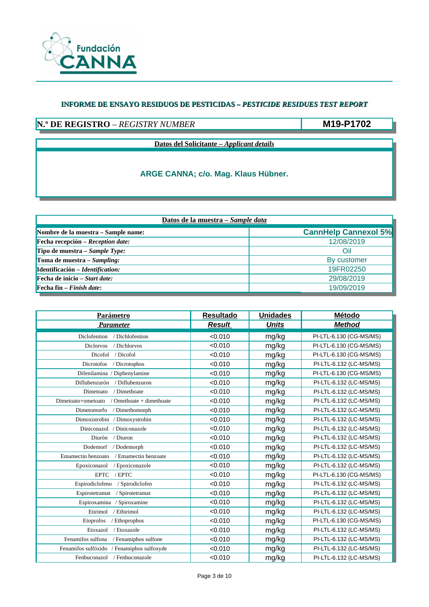

## **N.º DE REGISTRO** – *REGISTRY NUMBER*

**M19-P1702**

**Datos del Solicitante –** *Applicant details*

| Datos de la muestra - Sample data                       |                             |  |  |  |
|---------------------------------------------------------|-----------------------------|--|--|--|
| Nombre de la muestra – Sample name:                     | <b>CannHelp Cannexol 5%</b> |  |  |  |
| $\blacktriangleright$ Fecha recepción – Reception date: | 12/08/2019                  |  |  |  |
| Tipo de muestra – Sample Type:                          | Oil                         |  |  |  |
| Toma de muestra – Sampling:                             | By customer                 |  |  |  |
| Identificación - Identification:                        | 19FR02250                   |  |  |  |
| $\blacktriangleright$ Fecha de inicio – Start date:     | 29/08/2019                  |  |  |  |
| <b>Fecha fin</b> $-$ <i>Finish date</i> :               | 19/09/2019                  |  |  |  |

| <b>Parámetro</b>                             | <b>Resultado</b> | <b>Unidades</b> | Método                  |
|----------------------------------------------|------------------|-----------------|-------------------------|
| <b>Parameter</b>                             | <b>Result</b>    | <b>Units</b>    | <b>Method</b>           |
| Diclofention<br>/ Dichlofention              | < 0.010          | mg/kg           | PI-LTL-6.130 (CG-MS/MS) |
| / Dichlorvos<br><b>Diclorvos</b>             | < 0.010          | mg/kg           | PI-LTL-6.130 (CG-MS/MS) |
| Dicofol<br>/ Dicofol                         | < 0.010          | mg/kg           | PI-LTL-6.130 (CG-MS/MS) |
| Dicrotofos<br>/ Dicrotophos                  | < 0.010          | mg/kg           | PI-LTL-6.132 (LC-MS/MS) |
| Difenilamina / Diphenylamine                 | < 0.010          | mg/kg           | PI-LTL-6.130 (CG-MS/MS) |
| / Diflubenzuron<br>Diflubenzurón             | < 0.010          | mg/kg           | PI-LTL-6.132 (LC-MS/MS) |
| / Dimethoate<br>Dimetoato                    | < 0.010          | mg/kg           | PI-LTL-6.132 (LC-MS/MS) |
| Omethoate + dimethoate<br>Dimetoato+ometoato | < 0.010          | mg/kg           | PI-LTL-6.132 (LC-MS/MS) |
| / Dimethomorph<br>Dimetomorfo                | < 0.010          | mg/kg           | PI-LTL-6.132 (LC-MS/MS) |
| Dimoxistrobin / Dimoxystrobin                | < 0.010          | mg/kg           | PI-LTL-6.132 (LC-MS/MS) |
| Diniconazol / Diniconazole                   | < 0.010          | mg/kg           | PI-LTL-6.132 (LC-MS/MS) |
| Diurón<br>/ Diuron                           | < 0.010          | mg/kg           | PI-LTL-6.132 (LC-MS/MS) |
| Dodemorf<br>/ Dodemorph                      | < 0.010          | mg/kg           | PI-LTL-6.132 (LC-MS/MS) |
| Emamectin benzoato<br>/ Emamectin benzoate   | < 0.010          | mg/kg           | PI-LTL-6.132 (LC-MS/MS) |
| Epoxiconazole<br>Epoxiconazol                | < 0.010          | mg/kg           | PI-LTL-6.132 (LC-MS/MS) |
| <b>EPTC</b><br>/ EPTC                        | < 0.010          | mg/kg           | PI-LTL-6.130 (CG-MS/MS) |
| Espirodiclofeno<br>/ Spirodiclofen           | < 0.010          | mg/kg           | PI-LTL-6.132 (LC-MS/MS) |
| Espirotetramat<br>/ Spirotetramat            | < 0.010          | mg/kg           | PI-LTL-6.132 (LC-MS/MS) |
| / Spiroxamine<br>Espiroxamina                | < 0.010          | mg/kg           | PI-LTL-6.132 (LC-MS/MS) |
| Etirimol<br>/ Ethirimol                      | < 0.010          | mg/kg           | PI-LTL-6.132 (LC-MS/MS) |
| Etoprofos<br>/ Ethoprophos                   | < 0.010          | mg/kg           | PI-LTL-6.130 (CG-MS/MS) |
| / Etoxazole<br>Etoxazol                      | < 0.010          | mg/kg           | PI-LTL-6.132 (LC-MS/MS) |
| Fenamifos sulfona<br>/ Fenamiphos sulfone    | < 0.010          | mg/kg           | PI-LTL-6.132 (LC-MS/MS) |
| Fenamifos sulfóxido / Fenamiphos sulfoxyde   | < 0.010          | mg/kg           | PI-LTL-6.132 (LC-MS/MS) |
| / Fenbuconazole<br>Fenbuconazol              | < 0.010          | mg/kg           | PI-LTL-6.132 (LC-MS/MS) |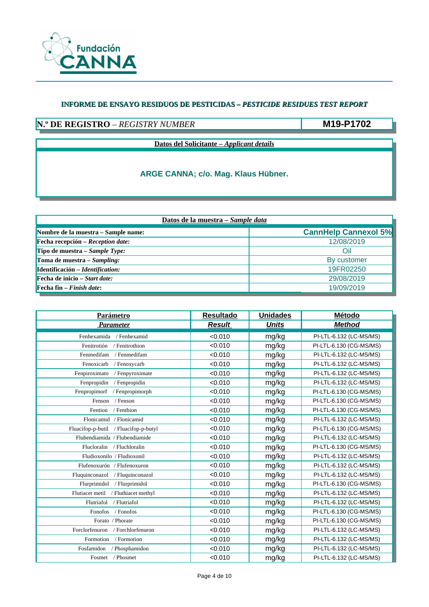

# **N.º DE REGISTRO** – *REGISTRY NUMBER*

**M19-P1702**

**Datos del Solicitante –** *Applicant details*

| Datos de la muestra - Sample data                       |                             |  |  |  |
|---------------------------------------------------------|-----------------------------|--|--|--|
| Nombre de la muestra – Sample name:                     | <b>CannHelp Cannexol 5%</b> |  |  |  |
| $\blacktriangleright$ Fecha recepción – Reception date: | 12/08/2019                  |  |  |  |
| Tipo de muestra – Sample Type:                          | Oil                         |  |  |  |
| Toma de muestra – Sampling:                             | By customer                 |  |  |  |
| Identificación - Identification:                        | 19FR02250                   |  |  |  |
| $\blacktriangleright$ Fecha de inicio – Start date:     | 29/08/2019                  |  |  |  |
| <b>Fecha fin</b> $-$ <i>Finish date</i> :               | 19/09/2019                  |  |  |  |

| <b>Parámetro</b>                         | <b>Resultado</b> | <b>Unidades</b> | <b>Método</b>           |
|------------------------------------------|------------------|-----------------|-------------------------|
| <b>Parameter</b>                         | <b>Result</b>    | <b>Units</b>    | <b>Method</b>           |
| Fenhexamida<br>/ Fenhexamid              | < 0.010          | mg/kg           | PI-LTL-6.132 (LC-MS/MS) |
| Fenitrotión<br>/ Fenitrothion            | < 0.010          | mg/kg           | PI-LTL-6.130 (CG-MS/MS) |
| Fenmedifam<br>/ Fenmedifam               | < 0.010          | mg/kg           | PI-LTL-6.132 (LC-MS/MS) |
| Fenoxicarb<br>/ Fenoxycarb               | < 0.010          | mg/kg           | PI-LTL-6.132 (LC-MS/MS) |
| / Fenpyroximate<br>Fenpiroximato         | < 0.010          | mg/kg           | PI-LTL-6.132 (LC-MS/MS) |
| Fenpropidin<br>/ Fenpropidin             | < 0.010          | mg/kg           | PI-LTL-6.132 (LC-MS/MS) |
| Fenpropimorf<br>/ Fenpropimorph          | < 0.010          | mg/kg           | PI-LTL-6.130 (CG-MS/MS) |
| / Fenson<br>Fenson                       | < 0.010          | mg/kg           | PI-LTL-6.130 (CG-MS/MS) |
| / Fenthion<br>Fention                    | < 0.010          | mg/kg           | PI-LTL-6.130 (CG-MS/MS) |
| Flonicamid / Flonicamid                  | < 0.010          | mg/kg           | PI-LTL-6.132 (LC-MS/MS) |
| Fluacifop-p-butil<br>/ Fluacifop-p-butyl | < 0.010          | mg/kg           | PI-LTL-6.130 (CG-MS/MS) |
| Flubendiamida / Flubendiamide            | < 0.010          | mg/kg           | PI-LTL-6.132 (LC-MS/MS) |
| Flucloralin / Fluchloralin               | < 0.010          | mg/kg           | PI-LTL-6.130 (CG-MS/MS) |
| Fludioxonilo / Fludioxonil               | < 0.010          | mg/kg           | PI-LTL-6.132 (LC-MS/MS) |
| Flufenoxurón / Flufenoxuron              | < 0.010          | mg/kg           | PI-LTL-6.132 (LC-MS/MS) |
| Fluquinconazol<br>/ Fluquinconazol       | < 0.010          | mg/kg           | PI-LTL-6.132 (LC-MS/MS) |
| Flurprimidol<br>/ Flurprimidol           | < 0.010          | mg/kg           | PI-LTL-6.130 (CG-MS/MS) |
| Flutiacet metil / Fluthiacet methyl      | < 0.010          | mg/kg           | PI-LTL-6.132 (LC-MS/MS) |
| Flutriafol<br>/ Flutriafol               | < 0.010          | mg/kg           | PI-LTL-6.132 (LC-MS/MS) |
| Fonofos<br>/ Fonofos                     | < 0.010          | mg/kg           | PI-LTL-6.130 (CG-MS/MS) |
| Forato / Phorate                         | < 0.010          | mg/kg           | PI-LTL-6.130 (CG-MS/MS) |
| Forclorfenuron / Forchlorfenuron         | < 0.010          | mg/kg           | PI-LTL-6.132 (LC-MS/MS) |
| / Formotion<br>Formotion                 | < 0.010          | mg/kg           | PI-LTL-6.132 (LC-MS/MS) |
| / Phosphamidon<br>Fosfamidon             | < 0.010          | mg/kg           | PI-LTL-6.132 (LC-MS/MS) |
| Fosmet / Phosmet                         | < 0.010          | mg/kg           | PI-LTL-6.132 (LC-MS/MS) |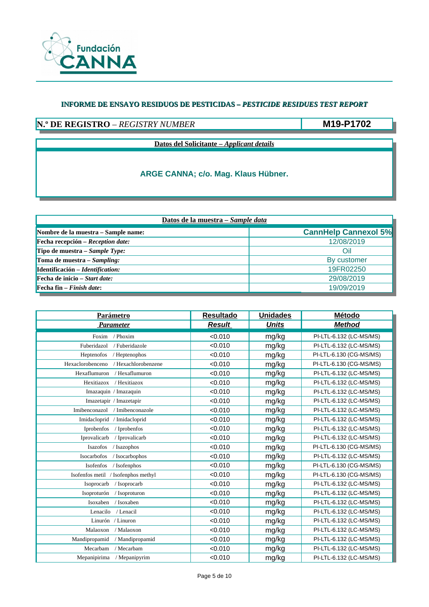

## **N.º DE REGISTRO** – *REGISTRY NUMBER*

**M19-P1702**

**Datos del Solicitante –** *Applicant details*

| Datos de la muestra - Sample data                       |                             |  |  |  |
|---------------------------------------------------------|-----------------------------|--|--|--|
| Nombre de la muestra – Sample name:                     | <b>CannHelp Cannexol 5%</b> |  |  |  |
| $\blacktriangleright$ Fecha recepción – Reception date: | 12/08/2019                  |  |  |  |
| Tipo de muestra – Sample Type:                          | Oil                         |  |  |  |
| Toma de muestra – Sampling:                             | By customer                 |  |  |  |
| Identificación - Identification:                        | 19FR02250                   |  |  |  |
| $\blacktriangleright$ Fecha de inicio – Start date:     | 29/08/2019                  |  |  |  |
| <b>Fecha fin</b> $-$ <i>Finish date</i> :               | 19/09/2019                  |  |  |  |

| <b>Parámetro</b>                        | <b>Resultado</b> | <b>Unidades</b> | Método                  |
|-----------------------------------------|------------------|-----------------|-------------------------|
| <b>Parameter</b>                        | <b>Result</b>    | <b>Units</b>    | <b>Method</b>           |
| Foxim<br>/ Phoxim                       | < 0.010          | mg/kg           | PI-LTL-6.132 (LC-MS/MS) |
| Fuberidazol<br>/ Fuberidazole           | < 0.010          | mg/kg           | PI-LTL-6.132 (LC-MS/MS) |
| / Heptenophos<br>Heptenofos             | < 0.010          | mg/kg           | PI-LTL-6.130 (CG-MS/MS) |
| Hexaclorobenceno<br>/ Hexachlorobenzene | < 0.010          | mg/kg           | PI-LTL-6.130 (CG-MS/MS) |
| Hexaflumuron<br>/ Hexaflumuron          | < 0.010          | mg/kg           | PI-LTL-6.132 (LC-MS/MS) |
| / Hexitiazox<br>Hexitiazox              | < 0.010          | mg/kg           | PI-LTL-6.132 (LC-MS/MS) |
| Imazaquin / Imazaquin                   | < 0.010          | mg/kg           | PI-LTL-6.132 (LC-MS/MS) |
| Imazetapir / Imazetapir                 | < 0.010          | mg/kg           | PI-LTL-6.132 (LC-MS/MS) |
| Imibenconazol<br>/ Imibenconazole       | < 0.010          | mg/kg           | PI-LTL-6.132 (LC-MS/MS) |
| Imidacloprid<br>/ Imidacloprid          | < 0.010          | mg/kg           | PI-LTL-6.132 (LC-MS/MS) |
| Iprobenfos<br>/ Iprobenfos              | < 0.010          | mg/kg           | PI-LTL-6.132 (LC-MS/MS) |
| Iprovalicarb<br>/ Iprovalicarb          | < 0.010          | mg/kg           | PI-LTL-6.132 (LC-MS/MS) |
| Isazofos<br>/ Isazophos                 | < 0.010          | mg/kg           | PI-LTL-6.130 (CG-MS/MS) |
| Isocarbofos<br>/ Isocarbophos           | < 0.010          | mg/kg           | PI-LTL-6.132 (LC-MS/MS) |
| Isofenfos<br>/ Isofenphos               | < 0.010          | mg/kg           | PI-LTL-6.130 (CG-MS/MS) |
| Isofenfos metil / Isofenphos methyl     | < 0.010          | mg/kg           | PI-LTL-6.130 (CG-MS/MS) |
| Isoprocarb<br>/ Isoprocarb              | < 0.010          | mg/kg           | PI-LTL-6.132 (LC-MS/MS) |
| Isoproturón<br>/ Isoproturon            | < 0.010          | mg/kg           | PI-LTL-6.132 (LC-MS/MS) |
| Isoxaben<br>/ Isoxaben                  | < 0.010          | mg/kg           | PI-LTL-6.132 (LC-MS/MS) |
| Lenacilo<br>/ Lenacil                   | < 0.010          | mg/kg           | PI-LTL-6.132 (LC-MS/MS) |
| Linurón / Linuron                       | < 0.010          | mg/kg           | PI-LTL-6.132 (LC-MS/MS) |
| Malaoxon<br>/ Malaoxon                  | < 0.010          | mg/kg           | PI-LTL-6.132 (LC-MS/MS) |
| Mandipropamid<br>/ Mandipropamid        | < 0.010          | mg/kg           | PI-LTL-6.132 (LC-MS/MS) |
| / Mecarbam<br>Mecarbam                  | < 0.010          | mg/kg           | PI-LTL-6.132 (LC-MS/MS) |
| Mepanipirima<br>/ Mepanipyrim           | < 0.010          | mg/kg           | PI-LTL-6.132 (LC-MS/MS) |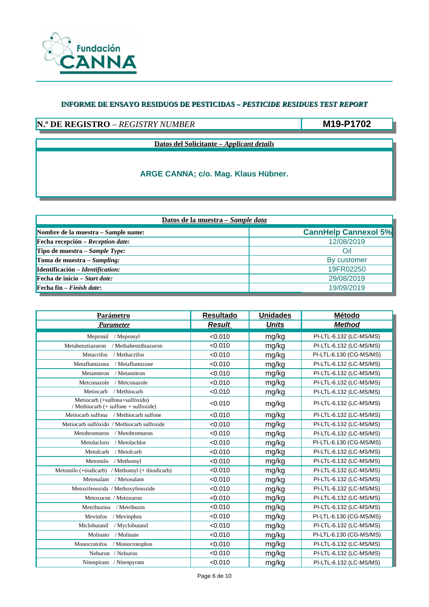

## **N.º DE REGISTRO** – *REGISTRY NUMBER*

**M19-P1702**

**Datos del Solicitante –** *Applicant details*

| Datos de la muestra - Sample data                       |                             |  |  |  |
|---------------------------------------------------------|-----------------------------|--|--|--|
| Nombre de la muestra – Sample name:                     | <b>CannHelp Cannexol 5%</b> |  |  |  |
| $\blacktriangleright$ Fecha recepción – Reception date: | 12/08/2019                  |  |  |  |
| Tipo de muestra – Sample Type:                          | Oil                         |  |  |  |
| Toma de muestra – Sampling:                             | By customer                 |  |  |  |
| Identificación - Identification:                        | 19FR02250                   |  |  |  |
| $\blacktriangleright$ Fecha de inicio – Start date:     | 29/08/2019                  |  |  |  |
| <b>Fecha fin</b> $-$ <i>Finish date</i> :               | 19/09/2019                  |  |  |  |

| <b>Parámetro</b>                                                       | <b>Resultado</b> | <b>Unidades</b> | Método                  |
|------------------------------------------------------------------------|------------------|-----------------|-------------------------|
| <b>Parameter</b>                                                       | <b>Result</b>    | <b>Units</b>    | <b>Method</b>           |
| Mepronil / Mepronyl                                                    | < 0.010          | mg/kg           | PI-LTL-6.132 (LC-MS/MS) |
| Metabenztiazuron<br>/ Methabenzthiazuron                               | < 0.010          | mg/kg           | PI-LTL-6.132 (LC-MS/MS) |
| / Methacrifos<br>Metacrifos                                            | < 0.010          | mg/kg           | PI-LTL-6.130 (CG-MS/MS) |
| / Metaflumizone<br>Metaflumizona                                       | < 0.010          | mg/kg           | PI-LTL-6.132 (LC-MS/MS) |
| / Metamitron<br>Metamitron                                             | < 0.010          | mg/kg           | PI-LTL-6.132 (LC-MS/MS) |
| / Metconazole<br>Metconazole                                           | < 0.010          | mg/kg           | PI-LTL-6.132 (LC-MS/MS) |
| / Methiocarb<br>Metiocarb                                              | < 0.010          | mg/kg           | PI-LTL-6.132 (LC-MS/MS) |
| Metiocarb (+sulfona+sulfóxido)<br>/ Methiocarb (+ sulfone + sulfoxide) | < 0.010          | mg/kg           | PI-LTL-6.132 (LC-MS/MS) |
| Metiocarb sulfona / Methiocarb sulfone                                 | < 0.010          | mg/kg           | PI-LTL-6.132 (LC-MS/MS) |
| Metiocarb sulfóxido / Methiocarb sulfoxide                             | < 0.010          | mg/kg           | PI-LTL-6.132 (LC-MS/MS) |
| / Metobromuron<br>Metobromuron                                         | < 0.010          | mg/kg           | PI-LTL-6.132 (LC-MS/MS) |
| / Metolachlor<br>Metolacloro                                           | < 0.010          | mg/kg           | PI-LTL-6.130 (CG-MS/MS) |
| / Metolcarb<br>Metolcarb                                               | < 0.010          | mg/kg           | PI-LTL-6.132 (LC-MS/MS) |
| Metomilo<br>/ Methomyl                                                 | < 0.010          | mg/kg           | PI-LTL-6.132 (LC-MS/MS) |
| Metomilo (+tiodicarb) / Methomyl (+ thiodicarb)                        | < 0.010          | mg/kg           | PI-LTL-6.132 (LC-MS/MS) |
| Metosulam<br>/ Metosulam                                               | < 0.010          | mg/kg           | PI-LTL-6.132 (LC-MS/MS) |
| Metoxifenozida / Methoxyfenozide                                       | < 0.010          | mg/kg           | PI-LTL-6.132 (LC-MS/MS) |
| Metoxuron / Metoxuron                                                  | < 0.010          | mg/kg           | PI-LTL-6.132 (LC-MS/MS) |
| Metribuzina<br>/ Metribuzin                                            | < 0.010          | mg/kg           | PI-LTL-6.132 (LC-MS/MS) |
| Mevinfos<br>/ Mevinphos                                                | < 0.010          | mg/kg           | PI-LTL-6.130 (CG-MS/MS) |
| Miclobutanil<br>/ Myclobutanil                                         | < 0.010          | mg/kg           | PI-LTL-6.132 (LC-MS/MS) |
| Molinato<br>/ Molinate                                                 | < 0.010          | mg/kg           | PI-LTL-6.130 (CG-MS/MS) |
| Monocrotofos<br>/ Monocrotophos                                        | < 0.010          | mg/kg           | PI-LTL-6.132 (LC-MS/MS) |
| Neburon / Neburon                                                      | < 0.010          | mg/kg           | PI-LTL-6.132 (LC-MS/MS) |
| Nitenpiram / Nitenpyram                                                | < 0.010          | mg/kg           | PI-LTL-6.132 (LC-MS/MS) |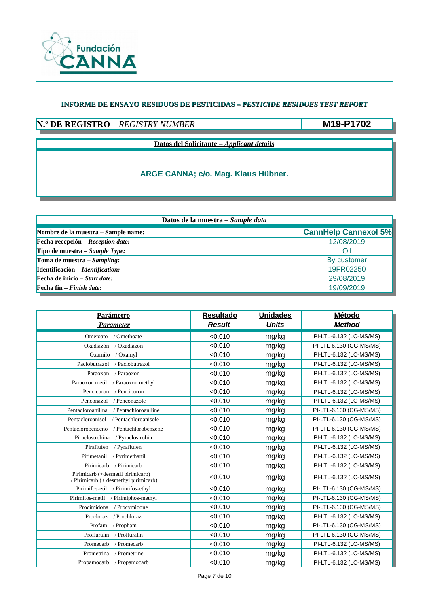

## **N.º DE REGISTRO** – *REGISTRY NUMBER*

**M19-P1702**

**Datos del Solicitante –** *Applicant details*

| Datos de la muestra - Sample data                       |                             |  |  |
|---------------------------------------------------------|-----------------------------|--|--|
| Nombre de la muestra – Sample name:                     | <b>CannHelp Cannexol 5%</b> |  |  |
| $\blacktriangleright$ Fecha recepción – Reception date: | 12/08/2019                  |  |  |
| Tipo de muestra – Sample Type:                          | Oil                         |  |  |
| Toma de muestra – Sampling:                             | By customer                 |  |  |
| Identificación - Identification:                        | 19FR02250                   |  |  |
| $\blacktriangleright$ Fecha de inicio – Start date:     | 29/08/2019                  |  |  |
| <b>Fecha fin</b> $-$ <i>Finish date</i> :               | 19/09/2019                  |  |  |

| <b>Parámetro</b>                                                           | <b>Resultado</b> | <b>Unidades</b> | Método                  |
|----------------------------------------------------------------------------|------------------|-----------------|-------------------------|
| <b>Parameter</b>                                                           | <b>Result</b>    | <b>Units</b>    | <b>Method</b>           |
| / Omethoate<br>Ometoato                                                    | < 0.010          | mg/kg           | PI-LTL-6.132 (LC-MS/MS) |
| Oxadiazón<br>/ Oxadiazon                                                   | < 0.010          | mg/kg           | PI-LTL-6.130 (CG-MS/MS) |
| Oxamilo<br>/ Oxamyl                                                        | < 0.010          | mg/kg           | PI-LTL-6.132 (LC-MS/MS) |
| Paclobutrazol<br>/ Paclobutrazol                                           | < 0.010          | mg/kg           | PI-LTL-6.132 (LC-MS/MS) |
| Paraoxon<br>/ Paraoxon                                                     | < 0.010          | mg/kg           | PI-LTL-6.132 (LC-MS/MS) |
| Paraoxon metil<br>/ Paraoxon methyl                                        | < 0.010          | mg/kg           | PI-LTL-6.132 (LC-MS/MS) |
| Pencicuron<br>/ Pencicuron                                                 | < 0.010          | mg/kg           | PI-LTL-6.132 (LC-MS/MS) |
| Penconazol<br>/ Penconazole                                                | < 0.010          | mg/kg           | PI-LTL-6.132 (LC-MS/MS) |
| Pentacloroanilina<br>/ Pentachloroaniline                                  | < 0.010          | mg/kg           | PI-LTL-6.130 (CG-MS/MS) |
| / Pentachloroanisole<br>Pentacloroanisol                                   | < 0.010          | mg/kg           | PI-LTL-6.130 (CG-MS/MS) |
| Pentaclorobenceno<br>/ Pentachlorobenzene                                  | < 0.010          | mg/kg           | PI-LTL-6.130 (CG-MS/MS) |
| Piraclostrobina<br>/ Pyraclostrobin                                        | < 0.010          | mg/kg           | PI-LTL-6.132 (LC-MS/MS) |
| Piraflufen<br>/ Pyraflufen                                                 | < 0.010          | mg/kg           | PI-LTL-6.132 (LC-MS/MS) |
| Pirimetanil<br>/ Pyrimethanil                                              | < 0.010          | mg/kg           | PI-LTL-6.132 (LC-MS/MS) |
| / Pirimicarb<br>Pirimicarb                                                 | < 0.010          | mg/kg           | PI-LTL-6.132 (LC-MS/MS) |
| Pirimicarb (+desmetil pirimicarb)<br>/ Pirimicarb (+ desmethyl pirimicarb) | < 0.010          | mg/kg           | PI-LTL-6.132 (LC-MS/MS) |
| Pirimifos-etil / Pirimifos-ethyl                                           | < 0.010          | mg/kg           | PI-LTL-6.130 (CG-MS/MS) |
| Pirimifos-metil / Pirimiphos-methyl                                        | < 0.010          | mg/kg           | PI-LTL-6.130 (CG-MS/MS) |
| Procimidona<br>/ Procymidone                                               | < 0.010          | mg/kg           | PI-LTL-6.130 (CG-MS/MS) |
| / Prochloraz<br>Procloraz                                                  | < 0.010          | mg/kg           | PI-LTL-6.132 (LC-MS/MS) |
| Profam<br>/ Propham                                                        | < 0.010          | mg/kg           | PI-LTL-6.130 (CG-MS/MS) |
| Profluralin<br>/ Profluralin                                               | < 0.010          | mg/kg           | PI-LTL-6.130 (CG-MS/MS) |
| / Promecarb<br>Promecarb                                                   | < 0.010          | mg/kg           | PI-LTL-6.132 (LC-MS/MS) |
| Prometrina<br>/ Prometrine                                                 | < 0.010          | mg/kg           | PI-LTL-6.132 (LC-MS/MS) |
| Propamocarb<br>/ Propamocarb                                               | < 0.010          | mg/kg           | PI-LTL-6.132 (LC-MS/MS) |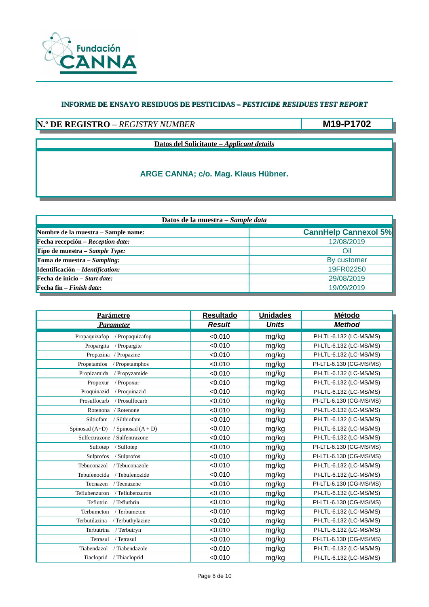

# **N.º DE REGISTRO** – *REGISTRY NUMBER*

**M19-P1702**

**Datos del Solicitante –** *Applicant details*

| Datos de la muestra - Sample data                       |                             |  |  |
|---------------------------------------------------------|-----------------------------|--|--|
| Nombre de la muestra – Sample name:                     | <b>CannHelp Cannexol 5%</b> |  |  |
| $\blacktriangleright$ Fecha recepción – Reception date: | 12/08/2019                  |  |  |
| Tipo de muestra – Sample Type:                          | Oil                         |  |  |
| Toma de muestra – Sampling:                             | By customer                 |  |  |
| Identificación - Identification:                        | 19FR02250                   |  |  |
| $\blacktriangleright$ Fecha de inicio – Start date:     | 29/08/2019                  |  |  |
| <b>Fecha fin</b> $-$ <i>Finish date</i> :               | 19/09/2019                  |  |  |

| <u>Parámetro</u>                         | <b>Resultado</b> | <b>Unidades</b> | Método                  |
|------------------------------------------|------------------|-----------------|-------------------------|
| <b>Parameter</b>                         | <b>Result</b>    | <b>Units</b>    | <b>Method</b>           |
| Propaquizafop<br>/ Propaquizafop         | < 0.010          | mg/kg           | PI-LTL-6.132 (LC-MS/MS) |
| Propargita<br>/ Propargite               | < 0.010          | mg/kg           | PI-LTL-6.132 (LC-MS/MS) |
| Propazina / Propazine                    | < 0.010          | mg/kg           | PI-LTL-6.132 (LC-MS/MS) |
| Propetamfos<br>/ Propetamphos            | < 0.010          | mg/kg           | PI-LTL-6.130 (CG-MS/MS) |
| Propizamida<br>/ Propyzamide             | < 0.010          | mg/kg           | PI-LTL-6.132 (LC-MS/MS) |
| Propoxur<br>/ Propoxur                   | < 0.010          | mg/kg           | PI-LTL-6.132 (LC-MS/MS) |
| Proquinazid<br>/ Proquinazid             | < 0.010          | mg/kg           | PI-LTL-6.132 (LC-MS/MS) |
| Prosulfocarb<br>/ Prosulfocarb           | < 0.010          | mg/kg           | PI-LTL-6.130 (CG-MS/MS) |
| Rotenona<br>/ Rotenone                   | < 0.010          | mg/kg           | PI-LTL-6.132 (LC-MS/MS) |
| Siltiofam<br>/ Silthiofam                | < 0.010          | mg/kg           | PI-LTL-6.132 (LC-MS/MS) |
| Spinosad $(A+D)$<br>/ Spinosad $(A + D)$ | < 0.010          | mg/kg           | PI-LTL-6.132 (LC-MS/MS) |
| Sulfectrazone / Sulfentrazone            | < 0.010          | mg/kg           | PI-LTL-6.132 (LC-MS/MS) |
| Sulfotep<br>/ Sulfotep                   | < 0.010          | mg/kg           | PI-LTL-6.130 (CG-MS/MS) |
| Sulprofos<br>/ Sulprofos                 | < 0.010          | mg/kg           | PI-LTL-6.130 (CG-MS/MS) |
| Tebuconazol<br>/ Tebuconazole            | < 0.010          | mg/kg           | PI-LTL-6.132 (LC-MS/MS) |
| Tebufenocida<br>/ Tebufenozide           | < 0.010          | mg/kg           | PI-LTL-6.132 (LC-MS/MS) |
| Tecnazen<br>/ Tecnazene                  | < 0.010          | mg/kg           | PI-LTL-6.130 (CG-MS/MS) |
| Teflubenzuron<br>/ Teflubenzuron         | < 0.010          | mg/kg           | PI-LTL-6.132 (LC-MS/MS) |
| / Tefluthrin<br>Teflutrin                | < 0.010          | mg/kg           | PI-LTL-6.130 (CG-MS/MS) |
| Terbumeton<br>/ Terbumeton               | < 0.010          | mg/kg           | PI-LTL-6.132 (LC-MS/MS) |
| Terbutilazina<br>/ Terbuthylazine        | < 0.010          | mg/kg           | PI-LTL-6.132 (LC-MS/MS) |
| / Terbutryn<br>Terbutrina                | < 0.010          | mg/kg           | PI-LTL-6.132 (LC-MS/MS) |
| / Tetrasul<br>Tetrasul                   | < 0.010          | mg/kg           | PI-LTL-6.130 (CG-MS/MS) |
| Tiabendazol<br>/Tiabendazole             | < 0.010          | mg/kg           | PI-LTL-6.132 (LC-MS/MS) |
| Tiacloprid / Thiacloprid                 | < 0.010          | mg/kg           | PI-LTL-6.132 (LC-MS/MS) |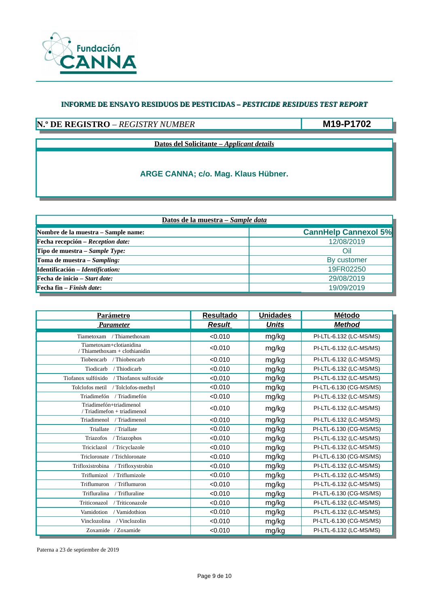

### **N.º DE REGISTRO** – *REGISTRY NUMBER*

**M19-P1702**

**Datos del Solicitante –** *Applicant details*

### **ARGE CANNA; c/o. Mag. Klaus Hübner.**

| Datos de la muestra - Sample data                       |                             |  |  |
|---------------------------------------------------------|-----------------------------|--|--|
| Nombre de la muestra – Sample name:                     | <b>CannHelp Cannexol 5%</b> |  |  |
| $\blacktriangleright$ Fecha recepción – Reception date: | 12/08/2019                  |  |  |
| Tipo de muestra – Sample Type:                          | Oil                         |  |  |
| Toma de muestra – Sampling:                             | By customer                 |  |  |
| Identificación – Identification:                        | 19FR02250                   |  |  |
| $\blacktriangleright$ Fecha de inicio – Start date:     | 29/08/2019                  |  |  |
| <b>Fecha fin</b> $-$ <i>Finish date</i> :               | 19/09/2019                  |  |  |

| Parámetro                                                | <b>Resultado</b> | <b>Unidades</b> | Método                  |
|----------------------------------------------------------|------------------|-----------------|-------------------------|
| <b>Parameter</b>                                         | <b>Result</b>    | <b>Units</b>    | <b>Method</b>           |
| Tiametoxam / Thiamethoxam                                | < 0.010          | mg/kg           | PI-LTL-6.132 (LC-MS/MS) |
| Tiametoxam+clotianidina<br>/ Thiamethoxam + clothianidin | < 0.010          | mg/kg           | PI-LTL-6.132 (LC-MS/MS) |
| Tiobencarb<br>/ Thiobencarb                              | < 0.010          | mg/kg           | PI-LTL-6.132 (LC-MS/MS) |
| / Thiodicarb<br>Tiodicarb                                | < 0.010          | mg/kg           | PI-LTL-6.132 (LC-MS/MS) |
| Tiofanox sulfóxido<br>/ Thiofanox sulfoxide              | < 0.010          | mg/kg           | PI-LTL-6.132 (LC-MS/MS) |
| Tolclofos metil / Tolclofos-methyl                       | < 0.010          | mg/kg           | PI-LTL-6.130 (CG-MS/MS) |
| Triadimefón<br>/ Triadimefón                             | < 0.010          | mg/kg           | PI-LTL-6.132 (LC-MS/MS) |
| Triadimefón+triadimenol<br>/ Triadimefon + triadimenol   | < 0.010          | mg/kg           | PI-LTL-6.132 (LC-MS/MS) |
| Triadimenol<br>/ Triadimenol                             | < 0.010          | mg/kg           | PI-LTL-6.132 (LC-MS/MS) |
| / Triallate<br>Triallate                                 | < 0.010          | mg/kg           | PI-LTL-6.130 (CG-MS/MS) |
| Triazofos<br>/ Triazophos                                | < 0.010          | mg/kg           | PI-LTL-6.132 (LC-MS/MS) |
| / Tricyclazole<br>Triciclazol                            | < 0.010          | mg/kg           | PI-LTL-6.132 (LC-MS/MS) |
| Tricloronate / Trichloronate                             | < 0.010          | mg/kg           | PI-LTL-6.130 (CG-MS/MS) |
| Trifloxistrobina<br>/ Trifloxystrobin                    | < 0.010          | mg/kg           | PI-LTL-6.132 (LC-MS/MS) |
| /Triflumizole<br>Triflumizol                             | < 0.010          | mg/kg           | PI-LTL-6.132 (LC-MS/MS) |
| Triflumuron<br>/ Triflumuron                             | < 0.010          | mg/kg           | PI-LTL-6.132 (LC-MS/MS) |
| / Trifluraline<br>Trifluralina                           | < 0.010          | mg/kg           | PI-LTL-6.130 (CG-MS/MS) |
| Triticonazol<br>/ Triticonazole                          | < 0.010          | mg/kg           | PI-LTL-6.132 (LC-MS/MS) |
| Vamidotion<br>/ Vamidothion                              | < 0.010          | mg/kg           | PI-LTL-6.132 (LC-MS/MS) |
| Vinclozolina<br>/ Vinclozolin                            | < 0.010          | mg/kg           | PI-LTL-6.130 (CG-MS/MS) |
| Zoxamide / Zoxamide                                      | < 0.010          | mg/kg           | PI-LTL-6.132 (LC-MS/MS) |

Paterna a 23 de septiembre de 2019